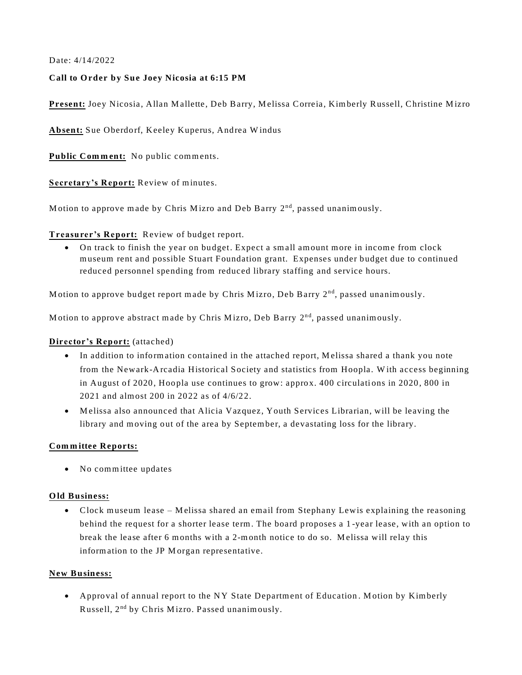Date: 4/14/2022

# **Call to O rder by Sue Joey Nicosia at 6:15 PM**

**Present:** Joey Nicosia , Allan M allette , Deb Barry, M elissa Correia , Kim berly Russell, Christine M izro

**Absent:** Sue Oberdorf, Keeley Kuperus, Andrea W indus

Public Comment: No public comments.

Secretary's Report: Review of minutes.

Motion to approve made by Chris Mizro and Deb Barry 2<sup>nd</sup>, passed unanimously.

## **Treasurer's Report:** Review of budget report.

• On track to finish the year on budget. Expect a small amount more in income from clock m useum rent and possible Stuart Foundation grant. Expenses under budget due to continued reduced personnel spending from reduced library staffing and service hours.

Motion to approve budget report made by Chris Mizro, Deb Barry 2<sup>nd</sup>, passed unanimously.

Motion to approve abstract made by Chris Mizro, Deb Barry 2<sup>nd</sup>, passed unanimously.

## **Director's Report:** (attached)

- In addition to information contained in the attached report, Melissa shared a thank you note from the Newark-A rcadia Historical Society and statistics from Hoopla. W ith access beginning in August of 2020, Hoopla use continues to grow: approx. 400 circulations in 2020, 800 in 2021 and alm ost 200 in 2022 as of 4/6/22.
- M elissa also announced that Alicia Vazquez, Youth Services Librarian, will be leaving the library and moving out of the area by September, a devastating loss for the library.

## **Com m ittee Reports:**

• No committee updates

## **O ld Business:**

• Clock museum lease – Melissa shared an email from Stephany Lewis explaining the reasoning behind the request for a shorter lease term . The board proposes a 1 -year lease, with an option to break the lease after 6 m onths with a 2-m onth notice to do so. M elissa will relay this inform ation to the JP M organ representative.

## **New Business:**

• Approval of annual report to the NY State Department of Education. Motion by Kimberly Russell, 2<sup>nd</sup> by Chris Mizro. Passed unanimously.